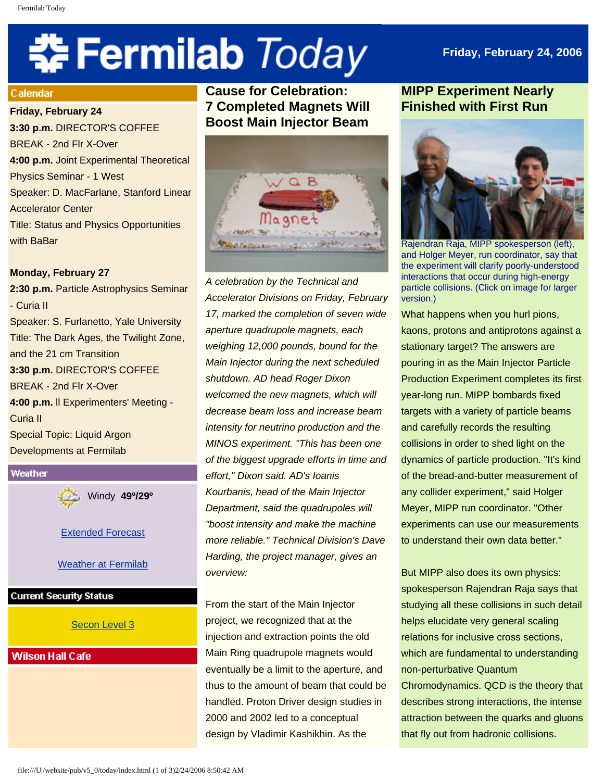# 축 Fermilab Today

## **Friday, February 24, 2006**

#### Calendar

**Friday, February 24 3:30 p.m.** DIRECTOR'S COFFEE BREAK - 2nd Flr X-Over **4:00 p.m.** Joint Experimental Theoretical Physics Seminar - 1 West Speaker: D. MacFarlane, Stanford Linear Accelerator Center Title: Status and Physics Opportunities with BaBar

#### **Monday, February 27**

**2:30 p.m.** Particle Astrophysics Seminar - Curia II Speaker: S. Furlanetto, Yale University Title: The Dark Ages, the Twilight Zone, and the 21 cm Transition **3:30 p.m.** DIRECTOR'S COFFEE BREAK - 2nd Flr X-Over **4:00 p.m.** ll Experimenters' Meeting - Curia II Special Topic: Liquid Argon Developments at Fermilab



Windy **49º/29º**

[Extended Forecast](http://www.srh.noaa.gov/data/forecasts/ILZ012.php?warncounty=ILC089&city=Batavia)

**Weather at Fermilab** 

#### **Current Security Status**

#### [Secon Level 3](http://www.fnal.gov/pub/about/public_affairs/currentstatus.html)

#### **Wilson Hall Cafe**

**Cause for Celebration: 7 Completed Magnets Will Boost Main Injector Beam** 



*A celebration by the Technical and Accelerator Divisions on Friday, February 17, marked the completion of seven wide aperture quadrupole magnets, each weighing 12,000 pounds, bound for the Main Injector during the next scheduled shutdown. AD head Roger Dixon welcomed the new magnets, which will decrease beam loss and increase beam intensity for neutrino production and the MINOS experiment. "This has been one of the biggest upgrade efforts in time and effort," Dixon said. AD's Ioanis Kourbanis, head of the Main Injector Department, said the quadrupoles will "boost intensity and make the machine more reliable." Technical Division's Dave Harding, the project manager, gives an overview:* 

From the start of the Main Injector project, we recognized that at the injection and extraction points the old Main Ring quadrupole magnets would eventually be a limit to the aperture, and thus to the amount of beam that could be handled. Proton Driver design studies in 2000 and 2002 led to a conceptual design by Vladimir Kashikhin. As the

### **MIPP Experiment Nearly Finished with First Run**



Rajendran Raja, MIPP spokesperson (left), and Holger Meyer, run coordinator, say that the experiment will clarify poorly-understood interactions that occur during high-energy particle collisions. (Click on image for larger version.)

What happens when you hurl pions, kaons, protons and antiprotons against a stationary target? The answers are pouring in as the Main Injector Particle Production Experiment completes its first year-long run. MIPP bombards fixed targets with a variety of particle beams and carefully records the resulting collisions in order to shed light on the dynamics of particle production. "It's kind of the bread-and-butter measurement of any collider experiment," said Holger Meyer, MIPP run coordinator. "Other experiments can use our measurements to understand their own data better."

But MIPP also does its own physics: spokesperson Rajendran Raja says that studying all these collisions in such detail helps elucidate very general scaling relations for inclusive cross sections, which are fundamental to understanding non-perturbative Quantum Chromodynamics. QCD is the theory that describes strong interactions, the intense attraction between the quarks and gluons that fly out from hadronic collisions.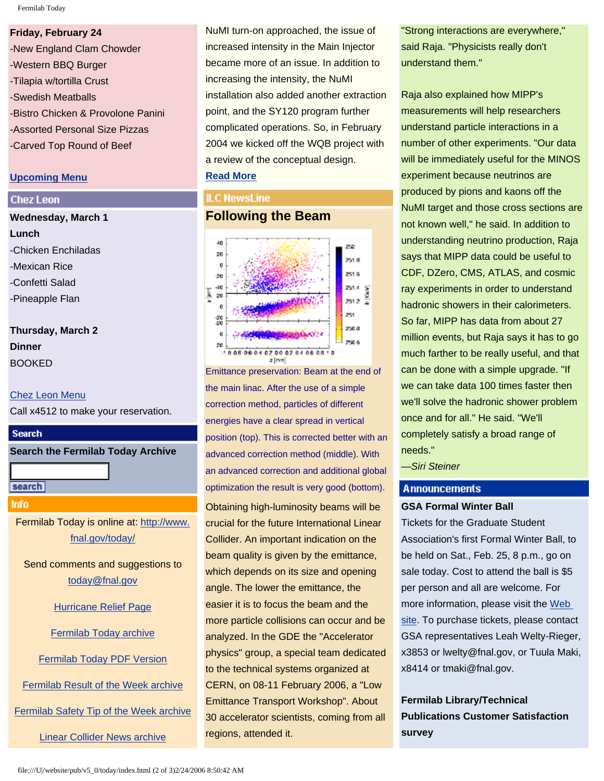Fermilab Today

#### **Friday, February 24**

-New England Clam Chowder -Western BBQ Burger -Tilapia w/tortilla Crust -Swedish Meatballs -Bistro Chicken & Provolone Panini -Assorted Personal Size Pizzas -Carved Top Round of Beef

#### **[Upcoming Menu](http://lss.fnal.gov/cafe)**

#### **Chez Leon**

# **Wednesday, March 1 Lunch** -Chicken Enchiladas -Mexican Rice -Confetti Salad -Pineapple Flan

**Thursday, March 2 Dinner**  BOOKED

#### [Chez Leon Menu](http://lss.fnal.gov/chezleon/index.html)

Call x4512 to make your reservation.



**Search the Fermilab Today Archive**

search

#### **Info**

Fermilab Today is online at: [http://www.](http://www.fnal.gov/today/) [fnal.gov/today/](http://www.fnal.gov/today/)

Send comments and suggestions to [today@fnal.gov](mailto:today@fnal.gov)

[Hurricane Relief Page](http://www.fnal.gov/pub/today/katrina_relief.html)

[Fermilab Today archive](http://www.fnal.gov/pub/today/archive.html)

[Fermilab Today PDF Version](http://www.fnal.gov/pub/today/archive.html)

[Fermilab Result of the Week archive](http://www.fnal.gov/pub/today/resultoftheweek/index.html)

[Fermilab Safety Tip of the Week archive](http://www.fnal.gov/pub/today/safety/index.html)

[Linear Collider News archive](http://www.fnal.gov/pub/today/linearcollider/index.html)

NuMI turn-on approached, the issue of increased intensity in the Main Injector became more of an issue. In addition to increasing the intensity, the NuMI installation also added another extraction point, and the SY120 program further complicated operations. So, in February 2004 we kicked off the WQB project with a review of the conceptual design. **[Read More](http://www.fnal.gov/pub/today/magnets.html)**

#### **ILC NewsLine**

#### **Following the Beam**



Emittance preservation: Beam at the end of the main linac. After the use of a simple correction method, particles of different energies have a clear spread in vertical position (top). This is corrected better with an advanced correction method (middle). With an advanced correction and additional global optimization the result is very good (bottom).

Obtaining high-luminosity beams will be crucial for the future International Linear Collider. An important indication on the beam quality is given by the emittance, which depends on its size and opening angle. The lower the emittance, the easier it is to focus the beam and the more particle collisions can occur and be analyzed. In the GDE the "Accelerator physics" group, a special team dedicated to the technical systems organized at CERN, on 08-11 February 2006, a "Low Emittance Transport Workshop". About 30 accelerator scientists, coming from all regions, attended it.

"Strong interactions are everywhere," said Raja. "Physicists really don't understand them."

Raja also explained how MIPP's measurements will help researchers understand particle interactions in a number of other experiments. "Our data will be immediately useful for the MINOS experiment because neutrinos are produced by pions and kaons off the NuMI target and those cross sections are not known well," he said. In addition to understanding neutrino production, Raja says that MIPP data could be useful to CDF, DZero, CMS, ATLAS, and cosmic ray experiments in order to understand hadronic showers in their calorimeters. So far, MIPP has data from about 27 million events, but Raja says it has to go much farther to be really useful, and that can be done with a simple upgrade. "If we can take data 100 times faster then we'll solve the hadronic shower problem once and for all." He said. "We'll completely satisfy a broad range of needs."

*—Siri Steiner*

#### **Announcements**

#### **GSA Formal Winter Ball**

Tickets for the Graduate Student Association's first Formal Winter Ball, to be held on Sat., Feb. 25, 8 p.m., go on sale today. Cost to attend the ball is \$5 per person and all are welcome. For more information, please visit the [Web](http://www.fnal.gov/orgs/gsa/calendar/winterball/winterball.html) [site.](http://www.fnal.gov/orgs/gsa/calendar/winterball/winterball.html) To purchase tickets, please contact GSA representatives Leah Welty-Rieger, x3853 or lwelty@fnal.gov, or Tuula Maki, x8414 or tmaki@fnal.gov.

**Fermilab Library/Technical Publications Customer Satisfaction survey**